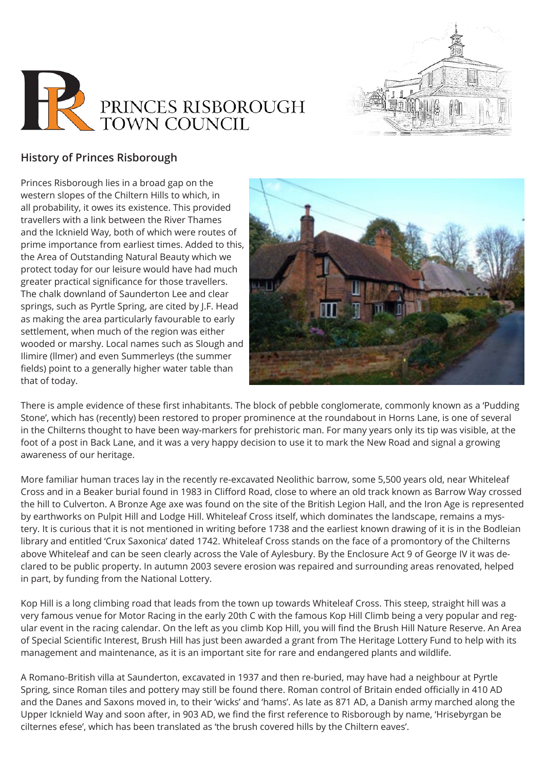



## **History of Princes Risborough**

Princes Risborough lies in a broad gap on the western slopes of the Chiltern Hills to which, in all probability, it owes its existence. This provided travellers with a link between the River Thames and the Icknield Way, both of which were routes of prime importance from earliest times. Added to this, the Area of Outstanding Natural Beauty which we protect today for our leisure would have had much greater practical significance for those travellers. The chalk downland of Saunderton Lee and clear springs, such as Pyrtle Spring, are cited by J.F. Head as making the area particularly favourable to early settlement, when much of the region was either wooded or marshy. Local names such as Slough and Ilimire (llmer) and even Summerleys (the summer fields) point to a generally higher water table than that of today.



There is ample evidence of these first inhabitants. The block of pebble conglomerate, commonly known as a 'Pudding Stone', which has (recently) been restored to proper prominence at the roundabout in Horns Lane, is one of several in the Chilterns thought to have been way-markers for prehistoric man. For many years only its tip was visible, at the foot of a post in Back Lane, and it was a very happy decision to use it to mark the New Road and signal a growing awareness of our heritage.

More familiar human traces lay in the recently re-excavated Neolithic barrow, some 5,500 years old, near Whiteleaf Cross and in a Beaker burial found in 1983 in Clifford Road, close to where an old track known as Barrow Way crossed the hill to Culverton. A Bronze Age axe was found on the site of the British Legion Hall, and the Iron Age is represented by earthworks on Pulpit Hill and Lodge Hill. Whiteleaf Cross itself, which dominates the landscape, remains a mystery. It is curious that it is not mentioned in writing before 1738 and the earliest known drawing of it is in the Bodleian library and entitled 'Crux Saxonica' dated 1742. Whiteleaf Cross stands on the face of a promontory of the Chilterns above Whiteleaf and can be seen clearly across the Vale of Aylesbury. By the Enclosure Act 9 of George IV it was declared to be public property. In autumn 2003 severe erosion was repaired and surrounding areas renovated, helped in part, by funding from the National Lottery.

Kop Hill is a long climbing road that leads from the town up towards Whiteleaf Cross. This steep, straight hill was a very famous venue for Motor Racing in the early 20th C with the famous Kop Hill Climb being a very popular and regular event in the racing calendar. On the left as you climb Kop Hill, you will find the Brush Hill Nature Reserve. An Area of Special Scientific Interest, Brush Hill has just been awarded a grant from The Heritage Lottery Fund to help with its management and maintenance, as it is an important site for rare and endangered plants and wildlife.

A Romano-British villa at Saunderton, excavated in 1937 and then re-buried, may have had a neighbour at Pyrtle Spring, since Roman tiles and pottery may still be found there. Roman control of Britain ended officially in 410 AD and the Danes and Saxons moved in, to their 'wicks' and 'hams'. As late as 871 AD, a Danish army marched along the Upper Icknield Way and soon after, in 903 AD, we find the first reference to Risborough by name, 'Hrisebyrgan be cilternes efese', which has been translated as 'the brush covered hills by the Chiltern eaves'.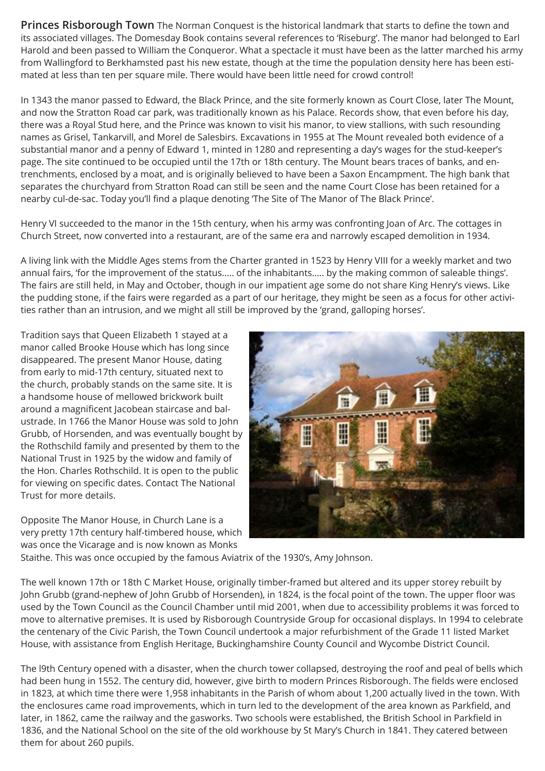**Princes Risborough Town** The Norman Conquest is the historical landmark that starts to define the town and its associated villages. The Domesday Book contains several references to 'Riseburg'. The manor had belonged to Earl Harold and been passed to William the Conqueror. What a spectacle it must have been as the latter marched his army from Wallingford to Berkhamsted past his new estate, though at the time the population density here has been estimated at less than ten per square mile. There would have been little need for crowd control!

In 1343 the manor passed to Edward, the Black Prince, and the site formerly known as Court Close, later The Mount, and now the Stratton Road car park, was traditionally known as his Palace. Records show, that even before his day, there was a Royal Stud here, and the Prince was known to visit his manor, to view stallions, with such resounding names as Grisel, Tankarvill, and Morel de Salesbirs. Excavations in 1955 at The Mount revealed both evidence of a substantial manor and a penny of Edward 1, minted in 1280 and representing a day's wages for the stud-keeper's page. The site continued to be occupied until the 17th or 18th century. The Mount bears traces of banks, and entrenchments, enclosed by a moat, and is originally believed to have been a Saxon Encampment. The high bank that separates the churchyard from Stratton Road can still be seen and the name Court Close has been retained for a nearby cul-de-sac. Today you'll find a plaque denoting 'The Site of The Manor of The Black Prince'.

Henry VI succeeded to the manor in the 15th century, when his army was confronting Joan of Arc. The cottages in Church Street, now converted into a restaurant, are of the same era and narrowly escaped demolition in 1934.

A living link with the Middle Ages stems from the Charter granted in 1523 by Henry VIII for a weekly market and two annual fairs, 'for the improvement of the status..... of the inhabitants..... by the making common of saleable things'. The fairs are still held, in May and October, though in our impatient age some do not share King Henry's views. Like the pudding stone, if the fairs were regarded as a part of our heritage, they might be seen as a focus for other activities rather than an intrusion, and we might all still be improved by the 'grand, galloping horses'.

Tradition says that Queen Elizabeth 1 stayed at a manor called Brooke House which has long since disappeared. The present Manor House, dating from early to mid-17th century, situated next to the church, probably stands on the same site. It is a handsome house of mellowed brickwork built around a magnificent Jacobean staircase and balustrade. In 1766 the Manor House was sold to John Grubb, of Horsenden, and was eventually bought by the Rothschild family and presented by them to the National Trust in 1925 by the widow and family of the Hon. Charles Rothschild. It is open to the public for viewing on specific dates. Contact The National Trust for more details.

Opposite The Manor House, in Church Lane is a very pretty 17th century half-timbered house, which was once the Vicarage and is now known as Monks



Staithe. This was once occupied by the famous Aviatrix of the 1930's, Amy Johnson.

The well known 17th or 18th C Market House, originally timber-framed but altered and its upper storey rebuilt by John Grubb (grand-nephew of John Grubb of Horsenden), in 1824, is the focal point of the town. The upper floor was used by the Town Council as the Council Chamber until mid 2001, when due to accessibility problems it was forced to move to alternative premises. It is used by Risborough Countryside Group for occasional displays. In 1994 to celebrate the centenary of the Civic Parish, the Town Council undertook a major refurbishment of the Grade 11 listed Market House, with assistance from English Heritage, Buckinghamshire County Council and Wycombe District Council.

The l9th Century opened with a disaster, when the church tower collapsed, destroying the roof and peal of bells which had been hung in 1552. The century did, however, give birth to modern Princes Risborough. The fields were enclosed in 1823, at which time there were 1,958 inhabitants in the Parish of whom about 1,200 actually lived in the town. With the enclosures came road improvements, which in turn led to the development of the area known as Parkfield, and later, in 1862, came the railway and the gasworks. Two schools were established, the British School in Parkfield in 1836, and the National School on the site of the old workhouse by St Mary's Church in 1841. They catered between them for about 260 pupils.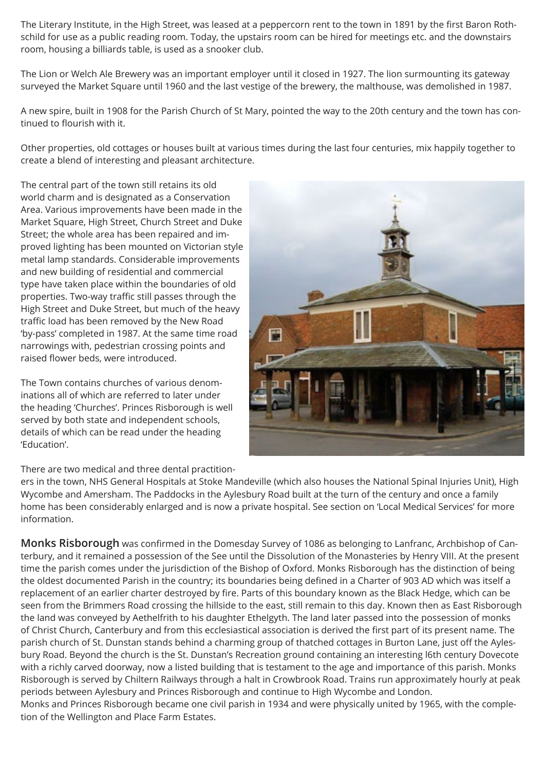The Literary Institute, in the High Street, was leased at a peppercorn rent to the town in 1891 by the first Baron Rothschild for use as a public reading room. Today, the upstairs room can be hired for meetings etc. and the downstairs room, housing a billiards table, is used as a snooker club.

The Lion or Welch Ale Brewery was an important employer until it closed in 1927. The lion surmounting its gateway surveyed the Market Square until 1960 and the last vestige of the brewery, the malthouse, was demolished in 1987.

A new spire, built in 1908 for the Parish Church of St Mary, pointed the way to the 20th century and the town has continued to flourish with it.

Other properties, old cottages or houses built at various times during the last four centuries, mix happily together to create a blend of interesting and pleasant architecture.

The central part of the town still retains its old world charm and is designated as a Conservation Area. Various improvements have been made in the Market Square, High Street, Church Street and Duke Street; the whole area has been repaired and improved lighting has been mounted on Victorian style metal lamp standards. Considerable improvements and new building of residential and commercial type have taken place within the boundaries of old properties. Two-way traffic still passes through the High Street and Duke Street, but much of the heavy traffic load has been removed by the New Road 'by-pass' completed in 1987. At the same time road narrowings with, pedestrian crossing points and raised flower beds, were introduced.

The Town contains churches of various denominations all of which are referred to later under the heading 'Churches'. Princes Risborough is well served by both state and independent schools, details of which can be read under the heading 'Education'.



There are two medical and three dental practition-

ers in the town, NHS General Hospitals at Stoke Mandeville (which also houses the National Spinal Injuries Unit), High Wycombe and Amersham. The Paddocks in the Aylesbury Road built at the turn of the century and once a family home has been considerably enlarged and is now a private hospital. See section on 'Local Medical Services' for more information.

**Monks Risborough** was confirmed in the Domesday Survey of 1086 as belonging to Lanfranc, Archbishop of Canterbury, and it remained a possession of the See until the Dissolution of the Monasteries by Henry VIII. At the present time the parish comes under the jurisdiction of the Bishop of Oxford. Monks Risborough has the distinction of being the oldest documented Parish in the country; its boundaries being defined in a Charter of 903 AD which was itself a replacement of an earlier charter destroyed by fire. Parts of this boundary known as the Black Hedge, which can be seen from the Brimmers Road crossing the hillside to the east, still remain to this day. Known then as East Risborough the land was conveyed by Aethelfrith to his daughter Ethelgyth. The land later passed into the possession of monks of Christ Church, Canterbury and from this ecclesiastical association is derived the first part of its present name. The parish church of St. Dunstan stands behind a charming group of thatched cottages in Burton Lane, just off the Aylesbury Road. Beyond the church is the St. Dunstan's Recreation ground containing an interesting l6th century Dovecote with a richly carved doorway, now a listed building that is testament to the age and importance of this parish. Monks Risborough is served by Chiltern Railways through a halt in Crowbrook Road. Trains run approximately hourly at peak periods between Aylesbury and Princes Risborough and continue to High Wycombe and London. Monks and Princes Risborough became one civil parish in 1934 and were physically united by 1965, with the comple-

tion of the Wellington and Place Farm Estates.